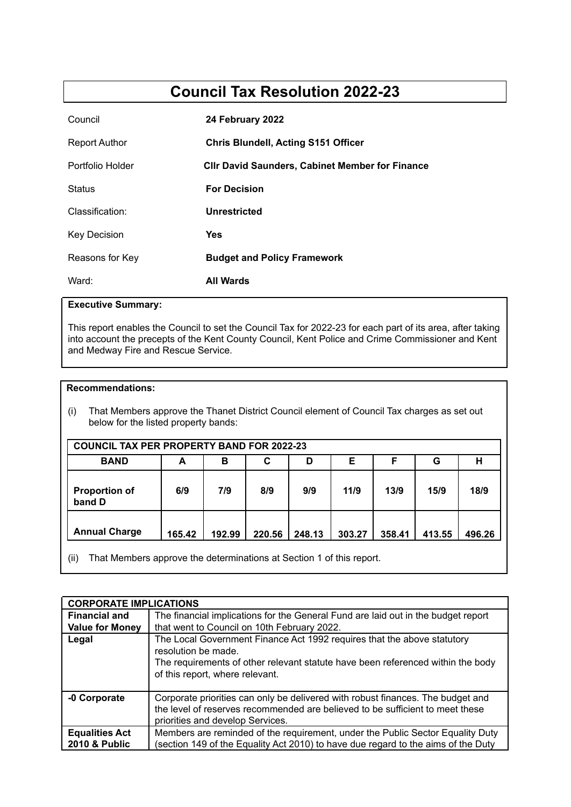# **Council Tax Resolution 2022-23**

| Council             | 24 February 2022                                       |
|---------------------|--------------------------------------------------------|
| Report Author       | <b>Chris Blundell, Acting S151 Officer</b>             |
| Portfolio Holder    | <b>CIIr David Saunders, Cabinet Member for Finance</b> |
| <b>Status</b>       | <b>For Decision</b>                                    |
| Classification:     | Unrestricted                                           |
| <b>Key Decision</b> | Yes                                                    |
| Reasons for Key     | <b>Budget and Policy Framework</b>                     |
| Ward:               | <b>All Wards</b>                                       |

# **Executive Summary:**

This report enables the Council to set the Council Tax for 2022-23 for each part of its area, after taking into account the precepts of the Kent County Council, Kent Police and Crime Commissioner and Kent and Medway Fire and Rescue Service.

## **Recommendations:**

(i) That Members approve the Thanet District Council element of Council Tax charges as set out below for the listed property bands:

| <b>COUNCIL TAX PER PROPERTY BAND FOR 2022-23</b> |        |                                 |        |        |        |        |        |        |  |  |
|--------------------------------------------------|--------|---------------------------------|--------|--------|--------|--------|--------|--------|--|--|
| <b>BAND</b>                                      | A      | Е<br>н<br>С<br>F<br>G<br>в<br>D |        |        |        |        |        |        |  |  |
| <b>Proportion of</b><br>band D                   | 6/9    | 7/9                             | 8/9    | 9/9    | 11/9   | 13/9   | 15/9   | 18/9   |  |  |
| <b>Annual Charge</b>                             | 165.42 | 192.99                          | 220.56 | 248.13 | 303.27 | 358.41 | 413.55 | 496.26 |  |  |

(ii) That Members approve the determinations at Section 1 of this report.

| <b>CORPORATE IMPLICATIONS</b>          |                                                                                                                                                                                                                      |
|----------------------------------------|----------------------------------------------------------------------------------------------------------------------------------------------------------------------------------------------------------------------|
| <b>Financial and</b>                   | The financial implications for the General Fund are laid out in the budget report                                                                                                                                    |
| <b>Value for Money</b>                 | that went to Council on 10th February 2022.                                                                                                                                                                          |
| Legal                                  | The Local Government Finance Act 1992 requires that the above statutory<br>resolution be made.<br>The requirements of other relevant statute have been referenced within the body<br>of this report, where relevant. |
| -0 Corporate                           | Corporate priorities can only be delivered with robust finances. The budget and<br>the level of reserves recommended are believed to be sufficient to meet these<br>priorities and develop Services.                 |
| <b>Equalities Act</b><br>2010 & Public | Members are reminded of the requirement, under the Public Sector Equality Duty<br>(section 149 of the Equality Act 2010) to have due regard to the aims of the Duty                                                  |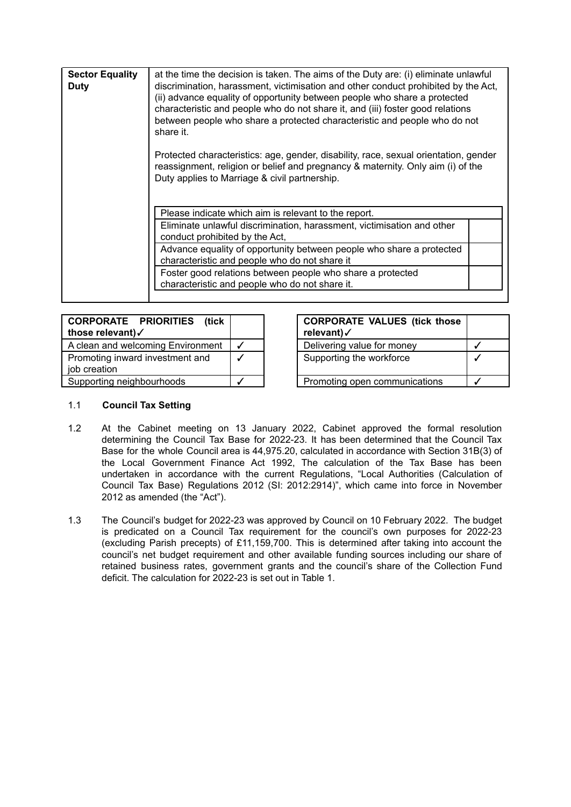| <b>Sector Equality</b><br>Duty | at the time the decision is taken. The aims of the Duty are: (i) eliminate unlawful<br>discrimination, harassment, victimisation and other conduct prohibited by the Act,<br>(ii) advance equality of opportunity between people who share a protected<br>characteristic and people who do not share it, and (iii) foster good relations<br>between people who share a protected characteristic and people who do not<br>share it.<br>Protected characteristics: age, gender, disability, race, sexual orientation, gender<br>reassignment, religion or belief and pregnancy & maternity. Only aim (i) of the<br>Duty applies to Marriage & civil partnership. |
|--------------------------------|----------------------------------------------------------------------------------------------------------------------------------------------------------------------------------------------------------------------------------------------------------------------------------------------------------------------------------------------------------------------------------------------------------------------------------------------------------------------------------------------------------------------------------------------------------------------------------------------------------------------------------------------------------------|
|                                | Please indicate which aim is relevant to the report.<br>Eliminate unlawful discrimination, harassment, victimisation and other<br>conduct prohibited by the Act,<br>Advance equality of opportunity between people who share a protected<br>characteristic and people who do not share it<br>Foster good relations between people who share a protected<br>characteristic and people who do not share it.                                                                                                                                                                                                                                                      |

| <b>CORPORATE PRIORITIES (tick)</b><br>those relevant)√ | <b>CORPORATE VALUES (tick those</b><br>relevant)√ |  |
|--------------------------------------------------------|---------------------------------------------------|--|
| A clean and welcoming Environment                      | Delivering value for money                        |  |
| Promoting inward investment and<br>job creation        | Supporting the workforce                          |  |
| Supporting neighbourhoods                              | Promoting open communications                     |  |

|  | <b>CORPORATE VALUES (tick those</b><br>relevant)√ |  |
|--|---------------------------------------------------|--|
|  | Delivering value for money                        |  |
|  | Supporting the workforce                          |  |
|  | Promoting open communications                     |  |

## 1.1 **Council Tax Setting**

- 1.2 At the Cabinet meeting on 13 January 2022, Cabinet approved the formal resolution determining the Council Tax Base for 2022-23. It has been determined that the Council Tax Base for the whole Council area is 44,975.20, calculated in accordance with Section 31B(3) of the Local Government Finance Act 1992, The calculation of the Tax Base has been undertaken in accordance with the current Regulations, "Local Authorities (Calculation of Council Tax Base) Regulations 2012 (SI: 2012:2914)", which came into force in November 2012 as amended (the "Act").
- 1.3 The Council's budget for 2022-23 was approved by Council on 10 February 2022. The budget is predicated on a Council Tax requirement for the council's own purposes for 2022-23 (excluding Parish precepts) of £11,159,700. This is determined after taking into account the council's net budget requirement and other available funding sources including our share of retained business rates, government grants and the council's share of the Collection Fund deficit. The calculation for 2022-23 is set out in Table 1.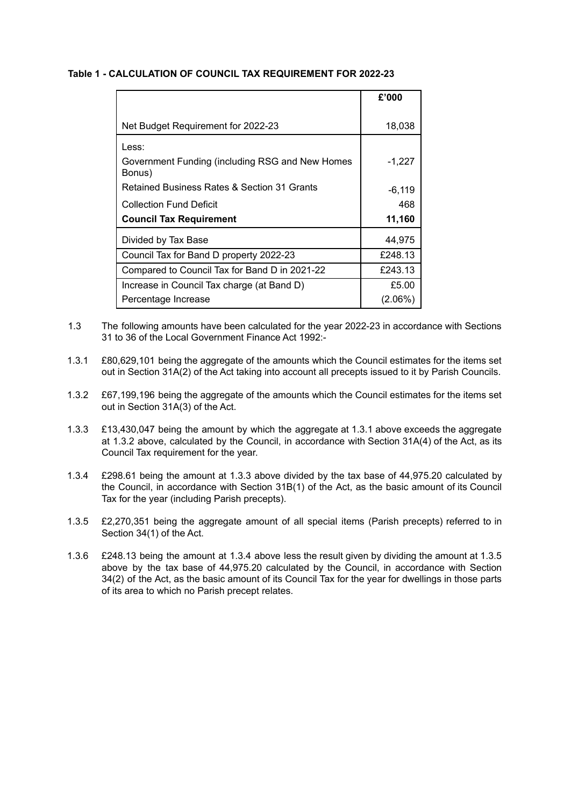#### **Table 1 - CALCULATION OF COUNCIL TAX REQUIREMENT FOR 2022-23**

|                                                           | £'000      |
|-----------------------------------------------------------|------------|
|                                                           |            |
| Net Budget Requirement for 2022-23                        | 18,038     |
| Less:                                                     |            |
| Government Funding (including RSG and New Homes<br>Bonus) | $-1,227$   |
| Retained Business Rates & Section 31 Grants               | $-6,119$   |
| <b>Collection Fund Deficit</b>                            | 468        |
| <b>Council Tax Requirement</b>                            | 11,160     |
| Divided by Tax Base                                       | 44,975     |
| Council Tax for Band D property 2022-23                   | £248.13    |
| Compared to Council Tax for Band D in 2021-22             | £243.13    |
| Increase in Council Tax charge (at Band D)                | £5.00      |
| Percentage Increase                                       | $(2.06\%)$ |

- 1.3 The following amounts have been calculated for the year 2022-23 in accordance with Sections 31 to 36 of the Local Government Finance Act 1992:-
- 1.3.1 £80,629,101 being the aggregate of the amounts which the Council estimates for the items set out in Section 31A(2) of the Act taking into account all precepts issued to it by Parish Councils.
- 1.3.2 £67,199,196 being the aggregate of the amounts which the Council estimates for the items set out in Section 31A(3) of the Act.
- 1.3.3 £13,430,047 being the amount by which the aggregate at 1.3.1 above exceeds the aggregate at 1.3.2 above, calculated by the Council, in accordance with Section 31A(4) of the Act, as its Council Tax requirement for the year.
- 1.3.4 £298.61 being the amount at 1.3.3 above divided by the tax base of 44,975.20 calculated by the Council, in accordance with Section 31B(1) of the Act, as the basic amount of its Council Tax for the year (including Parish precepts).
- 1.3.5 £2,270,351 being the aggregate amount of all special items (Parish precepts) referred to in Section 34(1) of the Act.
- 1.3.6 £248.13 being the amount at 1.3.4 above less the result given by dividing the amount at 1.3.5 above by the tax base of 44,975.20 calculated by the Council, in accordance with Section 34(2) of the Act, as the basic amount of its Council Tax for the year for dwellings in those parts of its area to which no Parish precept relates.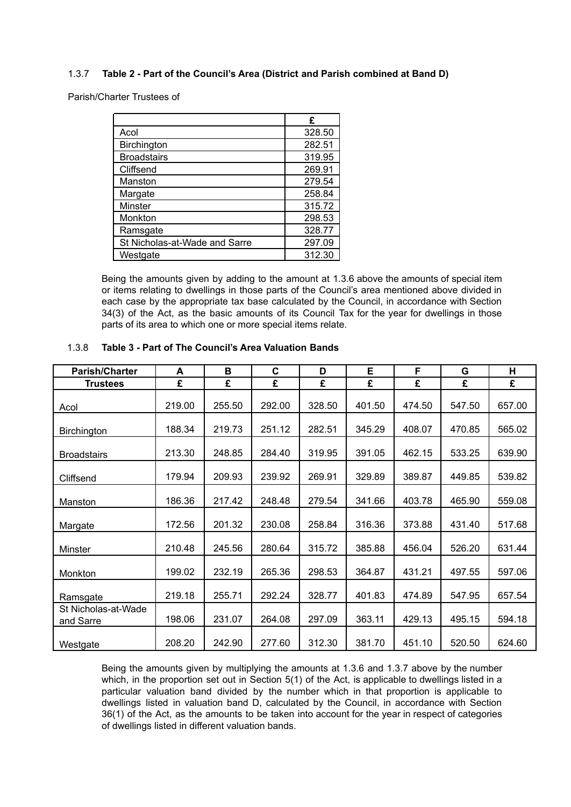## 1.3.7 **Table 2 - Part of the Council's Area (District and Parish combined at Band D)**

Parish/Charter Trustees of

|                               | £      |
|-------------------------------|--------|
| Acol                          | 328.50 |
| Birchington                   | 282.51 |
| <b>Broadstairs</b>            | 319.95 |
| Cliffsend                     | 269.91 |
| Manston                       | 279.54 |
| Margate                       | 258.84 |
| Minster                       | 315.72 |
| Monkton                       | 298.53 |
| Ramsgate                      | 328.77 |
| St Nicholas-at-Wade and Sarre | 297.09 |
| Westgate                      | 312.30 |

Being the amounts given by adding to the amount at 1.3.6 above the amounts of special item or items relating to dwellings in those parts of the Council's area mentioned above divided in each case by the appropriate tax base calculated by the Council, in accordance with Section 34(3) of the Act, as the basic amounts of its Council Tax for the year for dwellings in those parts of its area to which one or more special items relate.

| <b>Parish/Charter</b>            | A      | в      | C      | D      | Е      | F      | G      | Н      |
|----------------------------------|--------|--------|--------|--------|--------|--------|--------|--------|
| <b>Trustees</b>                  | £      | £      | £      | £      | £      | £      | £      | £      |
| Acol                             | 219.00 | 255.50 | 292.00 | 328.50 | 401.50 | 474.50 | 547.50 | 657.00 |
| <b>Birchington</b>               | 188.34 | 219.73 | 251.12 | 282.51 | 345.29 | 408.07 | 470.85 | 565.02 |
| <b>Broadstairs</b>               | 213.30 | 248.85 | 284.40 | 319.95 | 391.05 | 462.15 | 533.25 | 639.90 |
| Cliffsend                        | 179.94 | 209.93 | 239.92 | 269.91 | 329.89 | 389.87 | 449.85 | 539.82 |
| Manston                          | 186.36 | 217.42 | 248.48 | 279.54 | 341.66 | 403.78 | 465.90 | 559.08 |
| Margate                          | 172.56 | 201.32 | 230.08 | 258.84 | 316.36 | 373.88 | 431.40 | 517.68 |
| Minster                          | 210.48 | 245.56 | 280.64 | 315.72 | 385.88 | 456.04 | 526.20 | 631.44 |
| Monkton                          | 199.02 | 232.19 | 265.36 | 298.53 | 364.87 | 431.21 | 497.55 | 597.06 |
| Ramsgate                         | 219.18 | 255.71 | 292.24 | 328.77 | 401.83 | 474.89 | 547.95 | 657.54 |
| St Nicholas-at-Wade<br>and Sarre | 198.06 | 231.07 | 264.08 | 297.09 | 363.11 | 429.13 | 495.15 | 594.18 |
| Westgate                         | 208.20 | 242.90 | 277.60 | 312.30 | 381.70 | 451.10 | 520.50 | 624.60 |

#### 1.3.8 **Table 3 - Part of The Council's Area Valuation Bands**

Being the amounts given by multiplying the amounts at 1.3.6 and 1.3.7 above by the number which, in the proportion set out in Section 5(1) of the Act, is applicable to dwellings listed in a particular valuation band divided by the number which in that proportion is applicable to dwellings listed in valuation band D, calculated by the Council, in accordance with Section 36(1) of the Act, as the amounts to be taken into account for the year in respect of categories of dwellings listed in different valuation bands.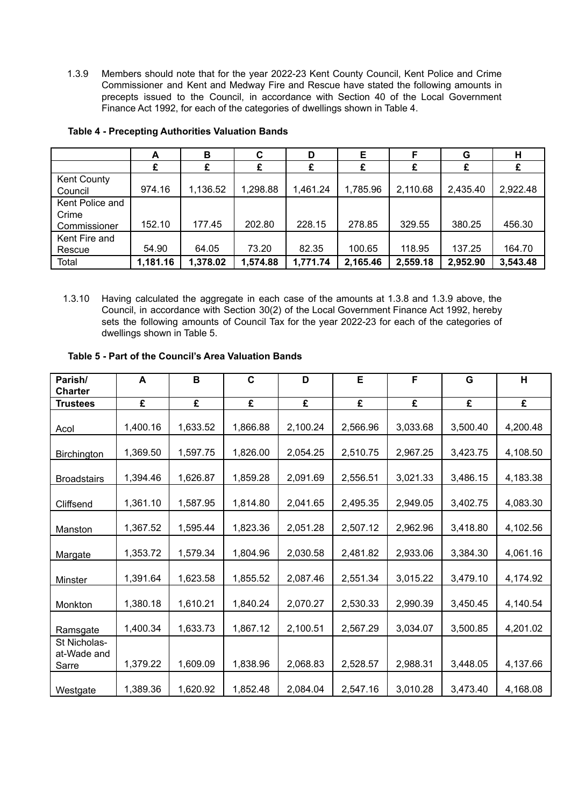1.3.9 Members should note that for the year 2022-23 Kent County Council, Kent Police and Crime Commissioner and Kent and Medway Fire and Rescue have stated the following amounts in precepts issued to the Council, in accordance with Section 40 of the Local Government Finance Act 1992, for each of the categories of dwellings shown in Table 4.

|                               | A        | в        | C        |          | Е        |          | G        | н        |
|-------------------------------|----------|----------|----------|----------|----------|----------|----------|----------|
|                               |          | £        | £        | £        |          |          |          | £        |
| <b>Kent County</b><br>Council | 974.16   | 1,136.52 | 1,298.88 | 1,461.24 | 1,785.96 | 2,110.68 | 2,435.40 | 2,922.48 |
| Kent Police and               |          |          |          |          |          |          |          |          |
| Crime<br>Commissioner         | 152.10   | 177.45   | 202.80   | 228.15   | 278.85   | 329.55   | 380.25   | 456.30   |
| Kent Fire and                 |          |          |          |          |          |          |          |          |
| Rescue                        | 54.90    | 64.05    | 73.20    | 82.35    | 100.65   | 118.95   | 137.25   | 164.70   |
| Total                         | 1,181.16 | 1,378.02 | 1,574.88 | 1,771.74 | 2,165.46 | 2,559.18 | 2,952.90 | 3,543.48 |

# **Table 4 - Precepting Authorities Valuation Bands**

1.3.10 Having calculated the aggregate in each case of the amounts at 1.3.8 and 1.3.9 above, the Council, in accordance with Section 30(2) of the Local Government Finance Act 1992, hereby sets the following amounts of Council Tax for the year 2022-23 for each of the categories of dwellings shown in Table 5.

# **Table 5 - Part of the Council's Area Valuation Bands**

| Parish/<br><b>Charter</b>            | A        | $\, {\bf B}$ | $\mathbf C$ | D        | E        | F        | G        | H        |
|--------------------------------------|----------|--------------|-------------|----------|----------|----------|----------|----------|
| <b>Trustees</b>                      | £        | £            | £           | £        | £        | £        | £        | £        |
| Acol                                 | 1,400.16 | 1,633.52     | 1,866.88    | 2,100.24 | 2,566.96 | 3,033.68 | 3,500.40 | 4,200.48 |
| <b>Birchington</b>                   | 1,369.50 | 1,597.75     | 1,826.00    | 2,054.25 | 2,510.75 | 2,967.25 | 3,423.75 | 4,108.50 |
| <b>Broadstairs</b>                   | 1,394.46 | 1,626.87     | 1,859.28    | 2,091.69 | 2,556.51 | 3,021.33 | 3,486.15 | 4,183.38 |
| Cliffsend                            | 1,361.10 | 1,587.95     | 1,814.80    | 2,041.65 | 2,495.35 | 2,949.05 | 3,402.75 | 4,083.30 |
| Manston                              | 1,367.52 | 1,595.44     | 1,823.36    | 2,051.28 | 2,507.12 | 2,962.96 | 3,418.80 | 4,102.56 |
| Margate                              | 1,353.72 | 1,579.34     | 1,804.96    | 2,030.58 | 2,481.82 | 2,933.06 | 3,384.30 | 4,061.16 |
| Minster                              | 1,391.64 | 1,623.58     | 1,855.52    | 2,087.46 | 2,551.34 | 3,015.22 | 3,479.10 | 4,174.92 |
| Monkton                              | 1,380.18 | 1,610.21     | 1,840.24    | 2,070.27 | 2,530.33 | 2,990.39 | 3,450.45 | 4,140.54 |
| Ramsgate                             | 1,400.34 | 1,633.73     | 1,867.12    | 2,100.51 | 2,567.29 | 3,034.07 | 3,500.85 | 4,201.02 |
| St Nicholas-<br>at-Wade and<br>Sarre | 1,379.22 | 1,609.09     | 1,838.96    | 2,068.83 | 2,528.57 | 2,988.31 | 3,448.05 | 4,137.66 |
| Westgate                             | 1,389.36 | 1,620.92     | 1,852.48    | 2,084.04 | 2,547.16 | 3,010.28 | 3,473.40 | 4,168.08 |